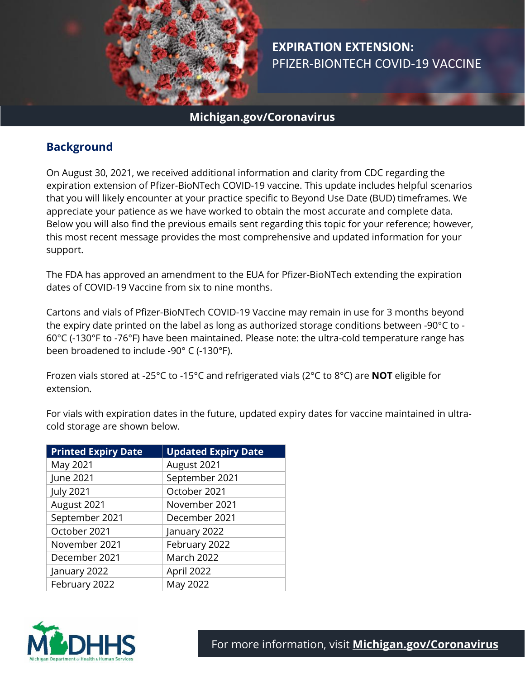

# **EXPIRATION EXTENSION:** PFIZER-BIONTECH COVID-19 VACCINE

### **Michigan.gov/Coronavirus**

### **Background**

On August 30, 2021, we received additional information and clarity from CDC regarding the expiration extension of Pfizer-BioNTech COVID-19 vaccine. This update includes helpful scenarios that you will likely encounter at your practice specific to Beyond Use Date (BUD) timeframes. We appreciate your patience as we have worked to obtain the most accurate and complete data. Below you will also find the previous emails sent regarding this topic for your reference; however, this most recent message provides the most comprehensive and updated information for your support.

The FDA has approved an amendment to the EUA for Pfizer-BioNTech extending the expiration dates of COVID-19 Vaccine from six to nine months.

Cartons and vials of Pfizer-BioNTech COVID-19 Vaccine may remain in use for 3 months beyond the expiry date printed on the label as long as authorized storage conditions between -90°C to - 60°C (-130°F to -76°F) have been maintained. Please note: the ultra-cold temperature range has been broadened to include -90° C (-130°F).

Frozen vials stored at -25°C to -15°C and refrigerated vials (2°C to 8°C) are **NOT** eligible for extension.

For vials with expiration dates in the future, updated expiry dates for vaccine maintained in ultracold storage are shown below.

| <b>Printed Expiry Date</b> | <b>Updated Expiry Date</b> |
|----------------------------|----------------------------|
| May 2021                   | August 2021                |
| June 2021                  | September 2021             |
| <b>July 2021</b>           | October 2021               |
| August 2021                | November 2021              |
| September 2021             | December 2021              |
| October 2021               | January 2022               |
| November 2021              | February 2022              |
| December 2021              | March 2022                 |
| January 2022               | April 2022                 |
| February 2022              | May 2022                   |

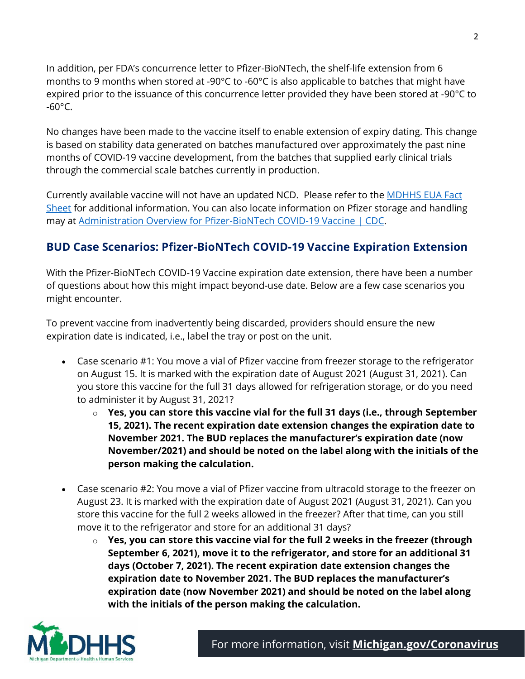In addition, per FDA's concurrence letter to Pfizer-BioNTech, the shelf-life extension from 6 months to 9 months when stored at -90°C to -60°C is also applicable to batches that might have expired prior to the issuance of this concurrence letter provided they have been stored at -90°C to  $-60^{\circ}$ C.

No changes have been made to the vaccine itself to enable extension of expiry dating. This change is based on stability data generated on batches manufactured over approximately the past nine months of COVID-19 vaccine development, from the batches that supplied early clinical trials through the commercial scale batches currently in production.

Currently available vaccine will not have an updated NCD. Please refer to the **MDHHS EUA Fact** [Sheet](https://www.michigan.gov/documents/mdhhs/Pfizer_EUA_for_Healthcare_Provider_5.19.2010_725969_7.pdf) for additional information. You can also locate information on Pfizer storage and handling may at [Administration Overview for Pfizer-BioNTech COVID-19 Vaccine |](https://www.cdc.gov/vaccines/covid-19/info-by-product/pfizer/index.html) CDC.

## **BUD Case Scenarios: Pfizer-BioNTech COVID-19 Vaccine Expiration Extension**

With the Pfizer-BioNTech COVID-19 Vaccine expiration date extension, there have been a number of questions about how this might impact beyond-use date. Below are a few case scenarios you might encounter.

To prevent vaccine from inadvertently being discarded, providers should ensure the new expiration date is indicated, i.e., label the tray or post on the unit.

- Case scenario #1: You move a vial of Pfizer vaccine from freezer storage to the refrigerator on August 15. It is marked with the expiration date of August 2021 (August 31, 2021). Can you store this vaccine for the full 31 days allowed for refrigeration storage, or do you need to administer it by August 31, 2021?
	- o **Yes, you can store this vaccine vial for the full 31 days (i.e., through September 15, 2021). The recent expiration date extension changes the expiration date to November 2021. The BUD replaces the manufacturer's expiration date (now November/2021) and should be noted on the label along with the initials of the person making the calculation.**
- Case scenario #2: You move a vial of Pfizer vaccine from ultracold storage to the freezer on August 23. It is marked with the expiration date of August 2021 (August 31, 2021). Can you store this vaccine for the full 2 weeks allowed in the freezer? After that time, can you still move it to the refrigerator and store for an additional 31 days?
	- o **Yes, you can store this vaccine vial for the full 2 weeks in the freezer (through September 6, 2021), move it to the refrigerator, and store for an additional 31 days (October 7, 2021). The recent expiration date extension changes the expiration date to November 2021. The BUD replaces the manufacturer's expiration date (now November 2021) and should be noted on the label along with the initials of the person making the calculation.**